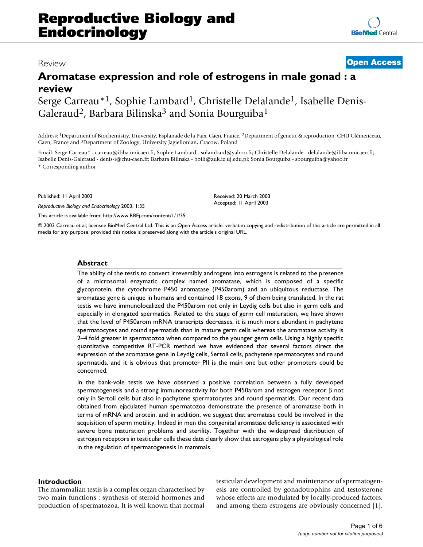# Review **[Open Access](http://www.biomedcentral.com/info/about/charter/)**

# **Aromatase expression and role of estrogens in male gonad : a review**

Serge Carreau\*1, Sophie Lambard1, Christelle Delalande1, Isabelle Denis-Galeraud<sup>2</sup>, Barbara Bilinska<sup>3</sup> and Sonia Bourguiba<sup>1</sup>

Address: 1Department of Biochemistry, University, Esplanade de la Paix, Caen, France, 2Department of genetic & reproduction, CHU Clémenceau, Caen, France and 3Department of Zoology, University Jagiellonian, Cracow, Poland

Email: Serge Carreau\* - carreau@ibba.unicaen.fr; Sophie Lambard - solambard@yahoo.fr; Christelle Delalande - delalande@ibba.unicaen.fr; Isabelle Denis-Galeraud - denis-i@chu-caen.fr; Barbara Bilinska - bbili@zuk.iz.uj.edu.pl; Sonia Bourguiba - sbourguiba@yahoo.fr \* Corresponding author

Published: 11 April 2003

*Reproductive Biology and Endocrinology* 2003, **1**:35

[This article is available from: http://www.RBEj.com/content/1/1/35](http://www.RBEj.com/content/1/1/35)

© 2003 Carreau et al; licensee BioMed Central Ltd. This is an Open Access article: verbatim copying and redistribution of this article are permitted in all media for any purpose, provided this notice is preserved along with the article's original URL.

# **Abstract**

The ability of the testis to convert irreversibly androgens into estrogens is related to the presence of a microsomal enzymatic complex named aromatase, which is composed of a specific glycoprotein, the cytochrome P450 aromatase (P450arom) and an ubiquitous reductase. The aromatase gene is unique in humans and contained 18 exons, 9 of them being translated. In the rat testis we have immunolocalized the P450arom not only in Leydig cells but also in germ cells and especially in elongated spermatids. Related to the stage of germ cell maturation, we have shown that the level of P450arom mRNA transcripts decreases, it is much more abundant in pachytene spermatocytes and round spermatids than in mature germ cells whereas the aromatase activity is 2–4 fold greater in spermatozoa when compared to the younger germ cells. Using a highly specific quantitative competitive RT-PCR method we have evidenced that several factors direct the expression of the aromatase gene in Leydig cells, Sertoli cells, pachytene spermatocytes and round spermatids, and it is obvious that promoter PII is the main one but other promoters could be concerned.

In the bank-vole testis we have observed a positive correlation between a fully developed spermatogenesis and a strong immunoreactivity for both P450arom and estrogen receptor β not only in Sertoli cells but also in pachytene spermatocytes and round spermatids. Our recent data obtained from ejaculated human spermatozoa demonstrate the presence of aromatase both in terms of mRNA and protein, and in addition, we suggest that aromatase could be involved in the acquisition of sperm motility. Indeed in men the congenital aromatase deficiency is associated with severe bone maturation problems and sterility. Together with the widespread distribution of estrogen receptors in testicular cells these data clearly show that estrogens play a physiological role in the regulation of spermatogenesis in mammals.

#### **Introduction**

The mammalian testis is a complex organ characterised by two main functions : synthesis of steroid hormones and production of spermatozoa. It is well known that normal testicular development and maintenance of spermatogenesis are controlled by gonadotrophins and testosterone whose effects are modulated by locally-produced factors, and among them estrogens are obviously concerned [1].

Received: 20 March 2003 Accepted: 11 April 2003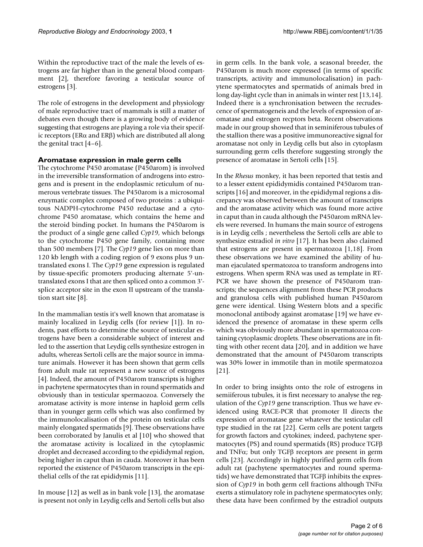Within the reproductive tract of the male the levels of estrogens are far higher than in the general blood compartment [2], therefore favoring a testicular source of estrogens [3].

The role of estrogens in the development and physiology of male reproductive tract of mammals is still a matter of debates even though there is a growing body of evidence suggesting that estrogens are playing a role via their specific receptors (ERα and ERβ) which are distributed all along the genital tract  $[4-6]$ .

# **Aromatase expression in male germ cells**

The cytochrome P450 aromatase (P450arom) is involved in the irreversible transformation of androgens into estrogens and is present in the endoplasmic reticulum of numerous vertebrate tissues. The P450arom is a microsomal enzymatic complex composed of two proteins : a ubiquitous NADPH-cytochrome P450 reductase and a cytochrome P450 aromatase, which contains the heme and the steroid binding pocket. In humans the P450arom is the product of a single gene called *Cyp19*, which belongs to the cytochrome P450 gene family, containing more than 500 members [7]. The *Cyp19* gene lies on more than 120 kb length with a coding region of 9 exons plus 9 untranslated exons I. The *Cyp19* gene expression is regulated by tissue-specific promoters producing alternate 5'-untranslated exons I that are then spliced onto a common 3' splice acceptor site in the exon II upstream of the translation start site [8].

In the mammalian testis it's well known that aromatase is mainly localized in Leydig cells (for review [1]). In rodents, past efforts to determine the source of testicular estrogens have been a considerable subject of interest and led to the assertion that Leydig cells synthesize estrogen in adults, whereas Sertoli cells are the major source in immature animals. However it has been shown that germ cells from adult male rat represent a new source of estrogens [4]. Indeed, the amount of P450arom transcripts is higher in pachytene spermatocytes than in round spermatids and obviously than in testicular spermaozoa. Conversely the aromatase activity is more intense in haploid germ cells than in younger germ cells which was also confirmed by the immunolocalisation of the protein on testicular cells mainly elongated spermatids [9]. These observations have been corroborated by Janulis et al [10] who showed that the aromatase activity is localized in the cytoplasmic droplet and decreased according to the epididymal region, being higher in caput than in cauda. Moreover it has been reported the existence of P450arom transcripts in the epithelial cells of the rat epididymis [11].

In mouse [12] as well as in bank vole [13], the aromatase is present not only in Leydig cells and Sertoli cells but also

in germ cells. In the bank vole, a seasonal breeder, the P450arom is much more expressed (in terms of specific transcripts, activity and immunolocalisation) in pachytene spermatocytes and spermatids of animals bred in long day-light cycle than in animals in winter rest [13,14]. Indeed there is a synchronisation between the recrudescence of spermatogeneis and the levels of expression of aromatase and estrogen recptors beta. Recent observations made in our group showed that in seminiferous tubules of the stallion there was a positive immunoreactive signal for aromatase not only in Leydig cells but also in cytoplasm surrounding germ cells therefore suggesting strongly the presence of aromatase in Sertoli cells [15].

In the *Rhesus* monkey, it has been reported that testis and to a lesser extent epididymidis contained P450arom transcripts [\[16\]](#page-5-0) and moreover, in the epididymal regions a discrepancy was observed between the amount of transcripts and the aromatase activity which was found more active in caput than in cauda although the P450arom mRNA levels were reversed. In humans the main source of estrogens is in Leydig cells ; nevertheless the Sertoli cells are able to synthesize estradiol *in vitro* [17]. It has been also claimed that estrogens are present in spermatozoa [1,18]. From these observations we have examined the ability of human ejaculated spermatozoa to transform androgens into estrogens. When sperm RNA was used as template in RT-PCR we have shown the presence of P450arom transcripts; the sequences alignment from these PCR products and granulosa cells with published human P450arom gene were identical. Using Western blots and a specific monoclonal antibody against aromatase [19] we have evidenced the presence of aromatase in these sperm cells which was obviously more abundant in spermatozoa containing cytoplasmic droplets. These observations are in fitting with other recent data [20], and in addition we have demonstrated that the amount of P450arom transcripts was 30% lower in immotile than in motile spermatozoa [21].

In order to bring insights onto the role of estrogens in semiiferous tubules, it is first necessary to analyse the regulation of the *Cyp19* gene transcription. Thus we have evidenced using RACE-PCR that promoter II directs the expression of aromatase gene whatever the testicular cell type studied in the rat [22]. Germ cells are potent targets for growth factors and cytokines; indeed, pachytene spermatocytes (PS) and round spermatids (RS) produce TGFβ and TNFα; but only TGFβ receptors are present in germ cells [23]. Accordingly in highly purified germ cells from adult rat (pachytene spermatocytes and round spermatids) we have demonstrated that TGFβ inhibits the expression of *Cyp19* in both germ cell fractions although TNFα exerts a stimulatory role in pachytene spermatocytes only; these data have been confirmed by the estradiol outputs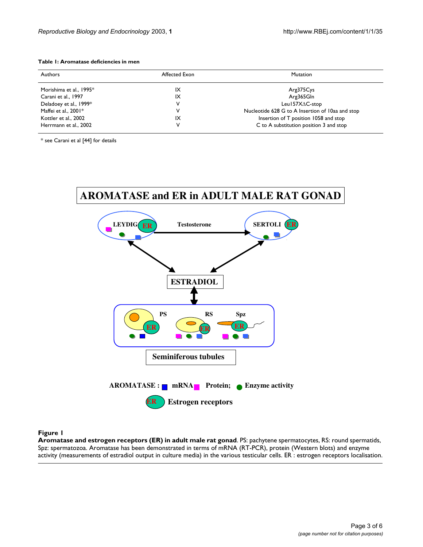### <span id="page-2-0"></span>**Table 1: Aromatase deficiencies in men**

| Authors                 | Affected Exon | <b>Mutation</b>                                  |
|-------------------------|---------------|--------------------------------------------------|
| Morishima et al., 1995* | ΙX            | Arg375Cys                                        |
| Carani et al., 1997     | ΙX            | Arg365Gln                                        |
| Deladoey et al., 1999*  | v             | Leu157XAC-stop                                   |
| Maffei et al., $2001*$  | v             | Nucleotide 628 G to A Insertion of 10aa and stop |
| Kottler et al., 2002    | IX            | Insertion of T position 1058 and stop            |
| Herrmann et al., 2002   | v             | C to A substitution position 3 and stop          |

\* see Carani et al [44] for details



#### **Figure 1**

**Aromatase and estrogen receptors (ER) in adult male rat gonad**. PS: pachytene spermatocytes, RS: round spermatids, Spz: spermatozoa. Aromatase has been demonstrated in terms of mRNA (RT-PCR), protein (Western blots) and enzyme activity (measurements of estradiol output in culture media) in the various testicular cells. ER : estrogen receptors localisation.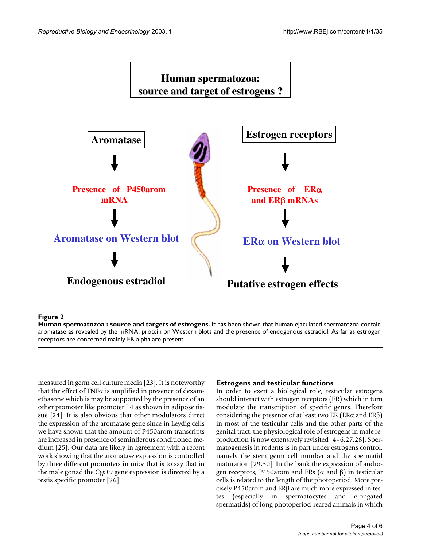

#### **Figure 2**

**Human spermatozoa : source and targets of estrogens.** It has been shown that human ejaculated spermatozoa contain aromatase as revealed by the mRNA, protein on Western blots and the presence of endogenous estradiol. As far as estrogen receptors are concerned mainly ER alpha are present.

measured in germ cell culture media [23]. It is noteworthy that the effect of TNF $\alpha$  is amplified in presence of dexamethasone which is may be supported by the presence of an other promoter like promoter I.4 as shown in adipose tissue [\[24\]](#page-5-1). It is also obvious that other modulators direct the expression of the aromatase gene since in Leydig cells we have shown that the amount of P450arom transcripts are increased in presence of seminiferous conditioned medium [25]. Our data are likely in agreement with a recent work showing that the aromatase expression is controlled by three different promoters in mice that is to say that in the male gonad the *Cyp19* gene expression is directed by a testis specific promoter [26].

# **Estrogens and testicular functions**

In order to exert a biological role, testicular estrogens should interact with estrogen receptors (ER) which in turn modulate the transcription of specific genes. Therefore considering the presence of at least two ER (ER $\alpha$  and ER $\beta$ ) in most of the testicular cells and the other parts of the genital tract, the physiological role of estrogens in male reproduction is now extensively revisited [4–6,27,28]. Spermatogenesis in rodents is in part under estrogens control, namely the stem germ cell number and the spermatid maturation [29,30]. In the bank the expression of androgen receptors, P450arom and ERs ( $\alpha$  and  $\beta$ ) in testicular cells is related to the length of the photoperiod. More precisely P450arom and ERβ are much more expressed in testes (especially in spermatocytes and elongated spermatids) of long photoperiod-reared animals in which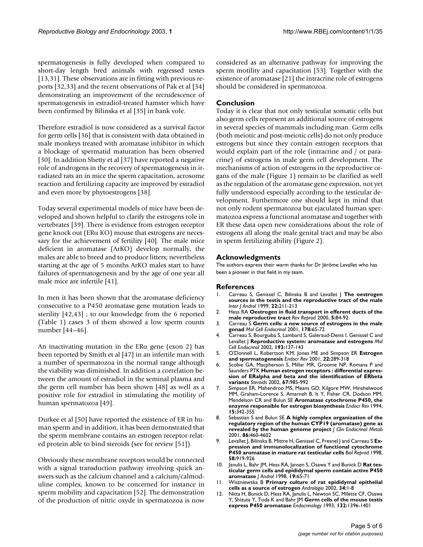spermatogenesis is fully developed when compared to short-day length bred animals with regressed testes [13,31]. These observations are in fitting with previous reports [32,33] and the recent observations of Pak et al [34] demonstrating an improvement of the recrudescence of spermatogenesis in estradiol-treated hamster which have been confirmed by Bilinska et al [35] in bank vole.

Therefore estradiol is now considered as a survival factor for germ cells [36] that is consistent with data obtained in male monkeys treated with aromatase inhibitor in which a blockage of spermatid maturation has been observed [30]. In addition Shetty et al [37] have reported a negative role of androgens in the recovery of spermatogenesis in irradiated rats an in mice the sperm capacitation, acrosome reaction and fertilizing capacity are improved by estradiol and even more by phytoestrogens [38].

Today several experimental models of mice have been developed and shown helpful to clarify the estrogens role in vertebrates [39]. There is evidence from estrogen receptor gene knock out (ERα KO) mouse that estrogens are necessary for the achievement of fertility [40]. The male mice deficient in aromatase (ArKO) develop normally, the males are able to breed and to produce litters; nevertheless starting at the age of 5 months ArKO males start to have failures of spermatogenesis and by the age of one year all male mice are infertile [41].

In men it has been shown that the aromatase deficiency consecutive to a P450 aromatase gene mutation leads to sterility [42,43] ; to our knowledge from the 6 reported (Table [1](#page-2-0)) cases 3 of them showed a low sperm counts number [44–46].

An inactivating mutation in the ERα gene (exon 2) has been reported by Smith et al [47] in an infertile man with a number of spermatozoa in the normal range although the viability was diminished. In addition a correlation between the amount of estradiol in the seminal plasma and the germ cell number has been shown [48] as well as a positive role for estradiol in stimulating the motility of human spermatozoa [49].

Durkee et al [50] have reported the existence of ER in human sperm and in addition, it has been demonstrated that the sperm membrane contains an estrogen receptor-related protein able to bind steroids (see for review [51]).

Obviously these membrane receptors would be connected with a signal transduction pathway involving quick answers such as the calcium channel and a calcium/calmoduline complex, known to be concerned for instance in sperm mobility and capacitation [52]. The demonstration of the production of nitric oxyde in spermatozoa is now considered as an alternative pathway for improving the sperm motility and capacitation [53]. Together with the existence of aromatase [21] the intracrine role of estrogens should be considered in spermatozoa.

# **Conclusion**

Today it is clear that not only testicular somatic cells but also germ cells represent an additional source of estrogens in several species of mammals including man. Germ cells (both meiotic and post-meiotic cells) do not only produce estrogens but since they contain estrogen receptors that would explain part of the role (intracrine and / or paracrine) of estrogens in male germ cell development. The mechanisms of action of estrogens in the reproductive organs of the male (Figure 1) remain to be clarified as well as the regulation of the aromatase gene expression, not yet fully understood especially according to the testicular development. Furthermore one should kept in mind that not only rodent spermatozoa but ejaculated human spermatozoa express a functional aromatase and together with ER these data open new considerations about the role of estrogens all along the male genital tract and may be also in sperm fertilizing ability (Figure 2).

# **Acknowledgments**

The authors express their warm thanks for Dr Jérôme Levallet who has been a pioneer in that field in my team.

# **References**

- 1. Carreau S, Genissel C, Bilinska B and Levallet J **The oestrogen sources in the testis and the reproductive tract of the male** *Inter J Androl* 1999, **22:**211-213
- 2. Hess RA **[Oestrogen in fluid transport in efferent ducts of the](http://www.ncbi.nlm.nih.gov/entrez/query.fcgi?cmd=Retrieve&db=PubMed&dopt=Abstract&list_uids=10864852) [male reproductive tract](http://www.ncbi.nlm.nih.gov/entrez/query.fcgi?cmd=Retrieve&db=PubMed&dopt=Abstract&list_uids=10864852)** *Rev Reprod* 2000, **5:**84-92
- 3. Carreau S **[Germ cells: a new source of estrogens in the male](http://www.ncbi.nlm.nih.gov/entrez/query.fcgi?cmd=Retrieve&db=PubMed&dopt=Abstract&list_uids=11403896) [gonad](http://www.ncbi.nlm.nih.gov/entrez/query.fcgi?cmd=Retrieve&db=PubMed&dopt=Abstract&list_uids=11403896)** *Mol Cell Endocrinol* 2001, **178:**65-72
- 4. Carreau S, Bourguiba S, Lambard S, Galeraud-Denis I, Genissel C and Levallet J **[Reproductive system: aromatase and estrogens](http://www.ncbi.nlm.nih.gov/entrez/query.fcgi?cmd=Retrieve&db=PubMed&dopt=Abstract&list_uids=12161013)** *Mol Cell Endocrinol* 2002, **193:**137-143
- 5. O'Donnell L, Robertson KM, Jones ME and Simpson ER **[Estrogen](http://www.ncbi.nlm.nih.gov/entrez/query.fcgi?cmd=Retrieve&db=PubMed&dopt=Abstract&list_uids=11399746) [and spermatogenesis](http://www.ncbi.nlm.nih.gov/entrez/query.fcgi?cmd=Retrieve&db=PubMed&dopt=Abstract&list_uids=11399746)** *Endocr Rev* 2001, **22:**289-318
- 6. Scobie GA, Macpherson S, Millar MR, Groome NP, Romana P and Saunders PTK **[Human estrogen receptors : differential expres](http://www.ncbi.nlm.nih.gov/entrez/query.fcgi?cmd=Retrieve&db=PubMed&dopt=Abstract&list_uids=12398995)[sion of ERalpha and beta and the identification of ERbeta](http://www.ncbi.nlm.nih.gov/entrez/query.fcgi?cmd=Retrieve&db=PubMed&dopt=Abstract&list_uids=12398995) [variants](http://www.ncbi.nlm.nih.gov/entrez/query.fcgi?cmd=Retrieve&db=PubMed&dopt=Abstract&list_uids=12398995)** *Steroids* 2002, **67:**985-992
- 7. Simpson ER, Mahendroo MS, Means GD, Kilgore MW, Hinshelwood MM, Graham-Lorence S, Amarneh B, It Y, Fisher CR, Dodson MM, Mendelson CR and Bulun SE **[Aromatase cytochrome P450, the](http://www.ncbi.nlm.nih.gov/entrez/query.fcgi?cmd=Retrieve&db=PubMed&dopt=Abstract&list_uids=8076586) [enzyme responsible for estrogen biosynthesis](http://www.ncbi.nlm.nih.gov/entrez/query.fcgi?cmd=Retrieve&db=PubMed&dopt=Abstract&list_uids=8076586)** *Endocr Rev* 1994, **15:**342-355
- 8. Sebastian S and Bulun SE **[A highly complex organization of the](http://www.ncbi.nlm.nih.gov/entrez/query.fcgi?cmd=Retrieve&db=PubMed&dopt=Abstract&list_uids=11232045) [regulatory region of the human CYP19 \(aromatase\) gene as](http://www.ncbi.nlm.nih.gov/entrez/query.fcgi?cmd=Retrieve&db=PubMed&dopt=Abstract&list_uids=11232045) [revealed by the human genome project](http://www.ncbi.nlm.nih.gov/entrez/query.fcgi?cmd=Retrieve&db=PubMed&dopt=Abstract&list_uids=11232045)** *J Clin Endocrinol Metab* 2001, **86:**460-4602
- 9. Levallet J, Bilinska B, Mittre H, Genissel C, Fresnel J and Carreau S **[Ex](http://www.ncbi.nlm.nih.gov/entrez/query.fcgi?cmd=Retrieve&db=PubMed&dopt=Abstract&list_uids=9546721)[pression and immunolocalization of functional cytochrome](http://www.ncbi.nlm.nih.gov/entrez/query.fcgi?cmd=Retrieve&db=PubMed&dopt=Abstract&list_uids=9546721) [P450 aromatase in mature rat testicular cells](http://www.ncbi.nlm.nih.gov/entrez/query.fcgi?cmd=Retrieve&db=PubMed&dopt=Abstract&list_uids=9546721)** *Biol Reprod* 1998, **58:**919-926
- 10. Janulis L, Bahr JM, Hess RA, Jansen S, Osawa Y and Bunick D **[Rat tes](http://www.ncbi.nlm.nih.gov/entrez/query.fcgi?cmd=Retrieve&db=PubMed&dopt=Abstract&list_uids=9537293)[ticular germ cells and epididymal sperm contain active P450](http://www.ncbi.nlm.nih.gov/entrez/query.fcgi?cmd=Retrieve&db=PubMed&dopt=Abstract&list_uids=9537293) [aromatase](http://www.ncbi.nlm.nih.gov/entrez/query.fcgi?cmd=Retrieve&db=PubMed&dopt=Abstract&list_uids=9537293)** *J Androl* 1998, **19:**65-71
- 11. Wiszniewska B **[Primary culture of rat epididymal epithelial](http://www.ncbi.nlm.nih.gov/entrez/query.fcgi?cmd=Retrieve&db=PubMed&dopt=Abstract&list_uids=11996176) [cells as a source of estrogen](http://www.ncbi.nlm.nih.gov/entrez/query.fcgi?cmd=Retrieve&db=PubMed&dopt=Abstract&list_uids=11996176)** *Andrologia* 2002, **34:**1-8
- 12. Nitta H, Bunick D, Hess RA, Janulis L, Newton SC, Milette CF, Osawa Y, Shizuta Y, Toda K and Bahr JM **[Germ cells of the mouse testis](http://www.ncbi.nlm.nih.gov/entrez/query.fcgi?cmd=Retrieve&db=PubMed&dopt=Abstract&list_uids=8440194) [express P450 aromatase](http://www.ncbi.nlm.nih.gov/entrez/query.fcgi?cmd=Retrieve&db=PubMed&dopt=Abstract&list_uids=8440194)** *Endocrinology* 1993, **132:**1396-1401